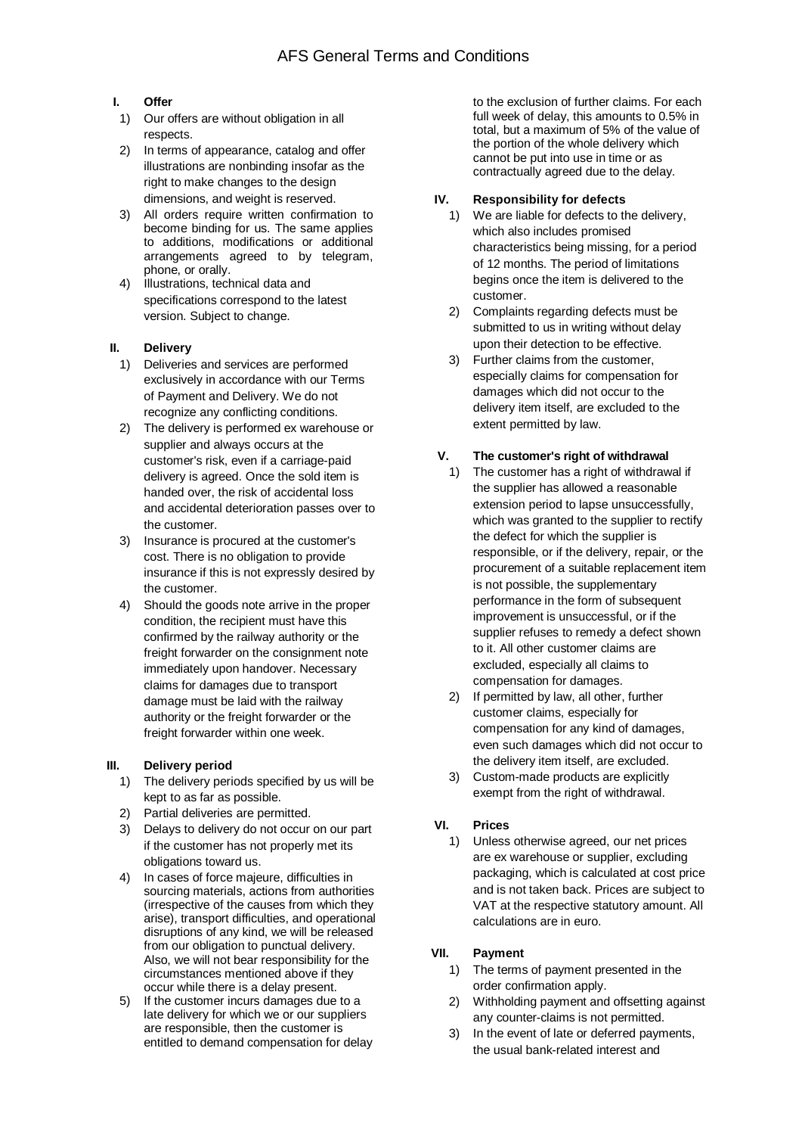## **I. Offer**

- 1) Our offers are without obligation in all respects.
- 2) In terms of appearance, catalog and offer illustrations are nonbinding insofar as the right to make changes to the design dimensions, and weight is reserved.
- 3) All orders require written confirmation to become binding for us. The same applies to additions, modifications or additional arrangements agreed to by telegram, phone, or orally.
- 4) Illustrations, technical data and specifications correspond to the latest version. Subject to change.

#### **II. Delivery**

- 1) Deliveries and services are performed exclusively in accordance with our Terms of Payment and Delivery. We do not recognize any conflicting conditions.
- 2) The delivery is performed ex warehouse or supplier and always occurs at the customer's risk, even if a carriage-paid delivery is agreed. Once the sold item is handed over, the risk of accidental loss and accidental deterioration passes over to the customer.
- 3) Insurance is procured at the customer's cost. There is no obligation to provide insurance if this is not expressly desired by the customer.
- 4) Should the goods note arrive in the proper condition, the recipient must have this confirmed by the railway authority or the freight forwarder on the consignment note immediately upon handover. Necessary claims for damages due to transport damage must be laid with the railway authority or the freight forwarder or the freight forwarder within one week.

#### **III. Delivery period**

- 1) The delivery periods specified by us will be kept to as far as possible.
- 2) Partial deliveries are permitted.
- 3) Delays to delivery do not occur on our part if the customer has not properly met its obligations toward us.
- 4) In cases of force majeure, difficulties in sourcing materials, actions from authorities (irrespective of the causes from which they arise), transport difficulties, and operational disruptions of any kind, we will be released from our obligation to punctual delivery. Also, we will not bear responsibility for the circumstances mentioned above if they occur while there is a delay present.
- 5) If the customer incurs damages due to a late delivery for which we or our suppliers are responsible, then the customer is entitled to demand compensation for delay

to the exclusion of further claims. For each full week of delay, this amounts to 0.5% in total, but a maximum of 5% of the value of the portion of the whole delivery which cannot be put into use in time or as contractually agreed due to the delay.

## **IV. Responsibility for defects**

- 1) We are liable for defects to the delivery, which also includes promised characteristics being missing, for a period of 12 months. The period of limitations begins once the item is delivered to the customer.
- 2) Complaints regarding defects must be submitted to us in writing without delay upon their detection to be effective.
- 3) Further claims from the customer, especially claims for compensation for damages which did not occur to the delivery item itself, are excluded to the extent permitted by law.

#### **V. The customer's right of withdrawal**

- 1) The customer has a right of withdrawal if the supplier has allowed a reasonable extension period to lapse unsuccessfully, which was granted to the supplier to rectify the defect for which the supplier is responsible, or if the delivery, repair, or the procurement of a suitable replacement item is not possible, the supplementary performance in the form of subsequent improvement is unsuccessful, or if the supplier refuses to remedy a defect shown to it. All other customer claims are excluded, especially all claims to compensation for damages.
- 2) If permitted by law, all other, further customer claims, especially for compensation for any kind of damages, even such damages which did not occur to the delivery item itself, are excluded.
- 3) Custom-made products are explicitly exempt from the right of withdrawal.

# **VI. Prices**

1) Unless otherwise agreed, our net prices are ex warehouse or supplier, excluding packaging, which is calculated at cost price and is not taken back. Prices are subject to VAT at the respective statutory amount. All calculations are in euro.

# **VII. Payment**

- 1) The terms of payment presented in the order confirmation apply.
- 2) Withholding payment and offsetting against any counter-claims is not permitted.
- 3) In the event of late or deferred payments, the usual bank-related interest and